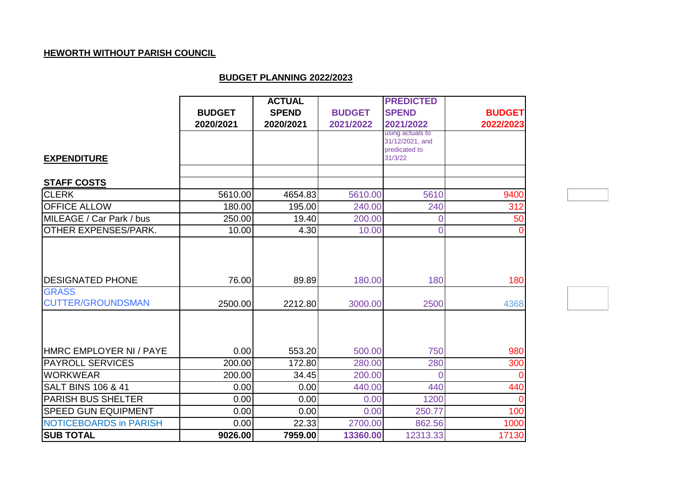## **HEWORTH WITHOUT PARISH COUNCIL**

## **BUDGET PLANNING 2022/2023**

|                                          |               | <b>ACTUAL</b> |               | <b>PREDICTED</b>                    |                |
|------------------------------------------|---------------|---------------|---------------|-------------------------------------|----------------|
|                                          | <b>BUDGET</b> | <b>SPEND</b>  | <b>BUDGET</b> | <b>SPEND</b>                        | <b>BUDGET</b>  |
|                                          | 2020/2021     | 2020/2021     | 2021/2022     | 2021/2022                           | 2022/2023      |
|                                          |               |               |               | using actuals to<br>31/12/2021, and |                |
|                                          |               |               |               | predicated to                       |                |
| <b>EXPENDITURE</b>                       |               |               |               | 31/3/22                             |                |
| <b>STAFF COSTS</b>                       |               |               |               |                                     |                |
| <b>CLERK</b>                             | 5610.00       | 4654.83       | 5610.00       | 5610                                | 9400           |
| <b>OFFICE ALLOW</b>                      | 180.00        | 195.00        | 240.00        | 240                                 | 312            |
| MILEAGE / Car Park / bus                 | 250.00        | 19.40         | 200.00        | 0                                   | 50             |
| OTHER EXPENSES/PARK.                     | 10.00         | 4.30          | 10.00         | $\overline{0}$                      | $\overline{0}$ |
| <b>DESIGNATED PHONE</b>                  | 76.00         | 89.89         | 180.00        | 180                                 | 180            |
| <b>GRASS</b><br><b>CUTTER/GROUNDSMAN</b> | 2500.00       | 2212.80       | 3000.00       | 2500                                | 4368           |
| HMRC EMPLOYER NI / PAYE                  | 0.00          | 553.20        | 500.00        | 750                                 | 980            |
| <b>PAYROLL SERVICES</b>                  | 200.00        | 172.80        | 280.00        | 280                                 | 300            |
| <b>WORKWEAR</b>                          | 200.00        | 34.45         | 200.00        | $\Omega$                            | $\Omega$       |
| <b>SALT BINS 106 &amp; 41</b>            | 0.00          | 0.00          | 440.00        | 440                                 | 440            |
| <b>PARISH BUS SHELTER</b>                | 0.00          | 0.00          | 0.00          | 1200                                | $\overline{0}$ |
| <b>SPEED GUN EQUIPMENT</b>               | 0.00          | 0.00          | 0.00          | 250.77                              | 100            |
| <b>NOTICEBOARDS in PARISH</b>            | 0.00          | 22.33         | 2700.00       | 862.56                              | 1000           |
| <b>SUB TOTAL</b>                         | 9026.00       | 7959.00       | 13360.00      | 12313.33                            | 17130          |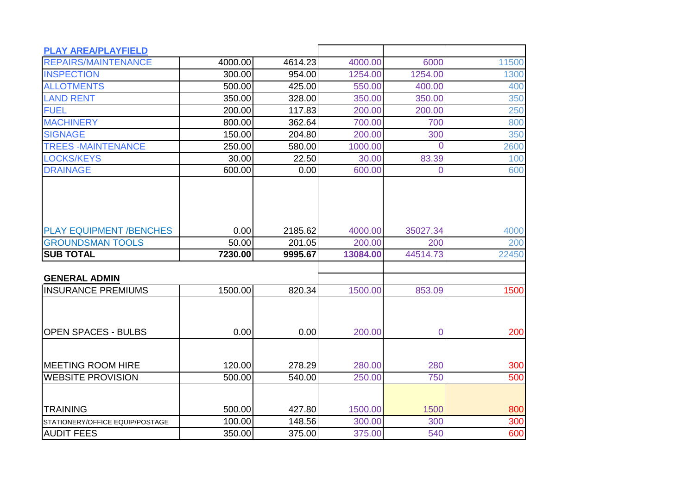| <b>PLAY AREA/PLAYFIELD</b>      |         |         |          |                |       |
|---------------------------------|---------|---------|----------|----------------|-------|
| <b>REPAIRS/MAINTENANCE</b>      | 4000.00 | 4614.23 | 4000.00  | 6000           | 11500 |
| <b>INSPECTION</b>               | 300.00  | 954.00  | 1254.00  | 1254.00        | 1300  |
| <b>ALLOTMENTS</b>               | 500.00  | 425.00  | 550.00   | 400.00         | 400   |
| <b>LAND RENT</b>                | 350.00  | 328.00  | 350.00   | 350.00         | 350   |
| <b>FUEL</b>                     | 200.00  | 117.83  | 200.00   | 200.00         | 250   |
| <b>MACHINERY</b>                | 800.00  | 362.64  | 700.00   | 700            | 800   |
| <b>SIGNAGE</b>                  | 150.00  | 204.80  | 200.00   | 300            | 350   |
| <b>TREES-MAINTENANCE</b>        | 250.00  | 580.00  | 1000.00  | 0              | 2600  |
| <b>LOCKS/KEYS</b>               | 30.00   | 22.50   | 30.00    | 83.39          | 100   |
| <b>DRAINAGE</b>                 | 600.00  | 0.00    | 600.00   | $\overline{0}$ | 600   |
|                                 |         |         |          |                |       |
| <b>PLAY EQUIPMENT /BENCHES</b>  | 0.00    | 2185.62 | 4000.00  | 35027.34       | 4000  |
| <b>GROUNDSMAN TOOLS</b>         | 50.00   | 201.05  | 200.00   | 200            | 200   |
| <b>SUB TOTAL</b>                | 7230.00 | 9995.67 | 13084.00 | 44514.73       | 22450 |
| <b>GENERAL ADMIN</b>            |         |         |          |                |       |
| <b>INSURANCE PREMIUMS</b>       | 1500.00 | 820.34  | 1500.00  | 853.09         | 1500  |
| <b>OPEN SPACES - BULBS</b>      | 0.00    | 0.00    | 200.00   | 0              | 200   |
|                                 |         |         |          |                |       |
| <b>IMEETING ROOM HIRE</b>       | 120.00  | 278.29  | 280.00   | 280            | 300   |
| <b>WEBSITE PROVISION</b>        | 500.00  | 540.00  | 250.00   | 750            | 500   |
|                                 |         |         |          |                |       |
| <b>TRAINING</b>                 | 500.00  | 427.80  | 1500.00  | 1500           | 800   |
| STATIONERY/OFFICE EQUIP/POSTAGE | 100.00  | 148.56  | 300.00   | 300            | 300   |
| <b>AUDIT FEES</b>               | 350.00  | 375.00  | 375.00   | 540            | 600   |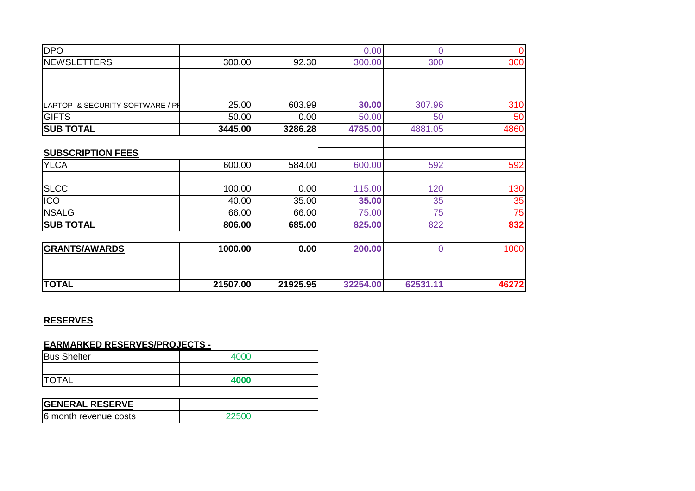| <b>DPO</b>                      |          |          | 0.00     | 0              | 0     |
|---------------------------------|----------|----------|----------|----------------|-------|
| <b>NEWSLETTERS</b>              | 300.00   | 92.30    | 300.00   | 300            | 300   |
|                                 |          |          |          |                |       |
|                                 |          |          |          |                |       |
| LAPTOP & SECURITY SOFTWARE / PH | 25.00    | 603.99   | 30.00    | 307.96         | 310   |
| <b>GIFTS</b>                    | 50.00    | 0.00     | 50.00    | 50             | 50    |
| <b>SUB TOTAL</b>                | 3445.00  | 3286.28  | 4785.00  | 4881.05        | 4860  |
|                                 |          |          |          |                |       |
| <b>SUBSCRIPTION FEES</b>        |          |          |          |                |       |
| <b>YLCA</b>                     | 600.00   | 584.00   | 600.00   | 592            | 592   |
|                                 |          |          |          |                |       |
| <b>SLCC</b>                     | 100.00   | 0.00     | 115.00   | 120            | 130   |
| ICO                             | 40.00    | 35.00    | 35.00    | 35             | 35    |
| <b>NSALG</b>                    | 66.00    | 66.00    | 75.00    | 75             | 75    |
| <b>SUB TOTAL</b>                | 806.00   | 685.00   | 825.00   | 822            | 832   |
|                                 |          |          |          |                |       |
| <b>GRANTS/AWARDS</b>            | 1000.00  | 0.00     | 200.00   | $\overline{0}$ | 1000  |
|                                 |          |          |          |                |       |
|                                 |          |          |          |                |       |
| <b>TOTAL</b>                    | 21507.00 | 21925.95 | 32254.00 | 62531.11       | 46272 |

## **RESERVES**

**EARMARKED RESERVES/PROJECTS -**

| <b>Bus Shelter</b> | ⊿∩∩  |  |
|--------------------|------|--|
|                    |      |  |
| <b>TOTAL</b>       | 4000 |  |

| <b>IGENERAL RESERVE</b> |  |
|-------------------------|--|
| 6 month revenue costs   |  |